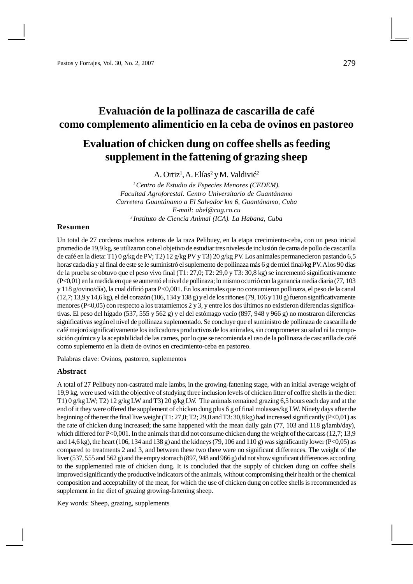# **Evaluación de la pollinaza de cascarilla de café como complemento alimenticio en la ceba de ovinos en pastoreo**

# **Evaluation of chicken dung on coffee shells as feeding supplement in the fattening of grazing sheep**

A. Ortiz<sup>1</sup>, A. Elías<sup>2</sup> y M. Valdivié<sup>2</sup>

*<sup>1</sup>Centro de Estudio de Especies Menores (CEDEM). Facultad Agroforestal. Centro Universitario de Guantánamo Carretera Guantánamo a El Salvador km 6, Guantánamo, Cuba E-mail: [abel@cug.co.cu](mailto:abel@cug.co.cu) <sup>2</sup>Instituto de Ciencia Animal (ICA). La Habana, Cuba*

## **Resumen**

. horas cada día y al final de este se le suministró el suplemento de pollinaza más 6 g de miel final/kg PV. A los 90 días Un total de 27 corderos machos enteros de la raza Pelibuey, en la etapa crecimiento-ceba, con un peso inicial promedio de 19,9 kg, se utilizaron con el objetivo de estudiar tres niveles de inclusión de cama de pollo de cascarilla de café en la dieta: T1) 0 g/kg de PV; T2) 12 g/kg PV y T3) 20 g/kg PV. Los animales permanecieron pastando 6,5 de la prueba se obtuvo que el peso vivo final (T1: 27,0; T2: 29,0 y T3: 30,8 kg) se incrementó significativamente (P<0,01) en la medida en que se aumentó el nivel de pollinaza; lo mismo ocurrió con la ganancia media diaria (77, 103 y 118 g/ovino/día), la cual difirió para P<0,001. En los animales que no consumieron pollinaza, el peso de la canal (12,7; 13,9 y 14,6 kg), el del corazón (106, 134 y 138 g) y el de los riñones (79, 106 y 110 g) fueron significativamente menores (P<0,05) con respecto a los tratamientos 2 y 3, y entre los dos últimos no existieron diferencias significativas. El peso del hígado (537, 555 y 562 g) y el del estómago vacío (897, 948 y 966 g) no mostraron diferencias significativas según el nivel de pollinaza suplementado. Se concluye que el suministro de pollinaza de cascarilla de café mejoró significativamente los indicadores productivos de los animales, sin comprometer su salud ni la composición química y la aceptabilidad de las carnes, por lo que se recomienda el uso de la pollinaza de cascarilla de café como suplemento en la dieta de ovinos en crecimiento-ceba en pastoreo.

Palabras clave: Ovinos, pastoreo, suplementos

## **Abstract**

A total of 27 Pelibuey non-castrated male lambs, in the growing-fattening stage, with an initial average weight of 19,9 kg, were used with the objective of studying three inclusion levels of chicken litter of coffee shells in the diet: T1) 0 g/kg LW; T2) 12 g/kg LW and T3) 20 g/kg LW. The animals remained grazing 6,5 hours each day and at the end of it they were offered the supplement of chicken dung plus 6 g of final molasses/kg LW. Ninety days after the beginning of the test the final live weight (T1: 27,0; T2; 29,0 and T3: 30,8 kg) had increased significantly (P<0,01) as the rate of chicken dung increased; the same happened with the mean daily gain (77, 103 and 118 g/lamb/day), which differed for P<0,001. In the animals that did not consume chicken dung the weight of the carcass (12,7; 13,9) and 14,6 kg), the heart (106, 134 and 138 g) and the kidneys (79, 106 and 110 g) was significantly lower (P<0,05) as compared to treatments 2 and 3, and between these two there were no significant differences. The weight of the liver (537, 555 and 562 g) and the empty stomach (897, 948 and 966 g) did not show significant differences according to the supplemented rate of chicken dung. It is concluded that the supply of chicken dung on coffee shells improved significantly the productive indicators of the animals, without compromising their health or the chemical composition and acceptability of the meat, for which the use of chicken dung on coffee shells is recommended as supplement in the diet of grazing growing-fattening sheep.

Key words: Sheep, grazing, supplements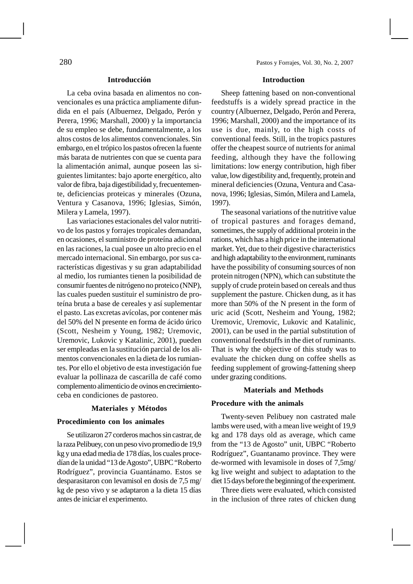La ceba ovina basada en alimentos no convencionales es una práctica ampliamente difundida en el país (Albuernez, Delgado, Perón y Perera, 1996; Marshall, 2000) y la importancia de su empleo se debe, fundamentalmente, a los altos costos de los alimentos convencionales. Sin embargo, en el trópico los pastos ofrecen la fuente más barata de nutrientes con que se cuenta para la alimentación animal, aunque poseen las siguientes limitantes: bajo aporte energético, alto valor de fibra, baja digestibilidad y, frecuentemente, deficiencias proteicas y minerales (Ozuna, Ventura y Casanova, 1996; Iglesias, Simón, Milera y Lamela, 1997).

Las variaciones estacionales del valor nutritivo de los pastos y forrajes tropicales demandan, en ocasiones, el suministro de proteína adicional en las raciones, la cual posee un alto precio en el mercado internacional. Sin embargo, por sus características digestivas y su gran adaptabilidad al medio, los rumiantes tienen la posibilidad de consumir fuentes de nitrógeno no proteico (NNP), las cuales pueden sustituir el suministro de proteína bruta a base de cereales y así suplementar el pasto. Las excretas avícolas, por contener más del 50% del N presente en forma de ácido úrico (Scott, Nesheim y Young, 1982; Uremovic, Uremovic, Lukovic y Katalinic, 2001), pueden ser empleadas en la sustitución parcial de los alimentos convencionales en la dieta de los rumiantes. Por ello el objetivo de esta investigación fue evaluar la pollinaza de cascarilla de café como complemento alimenticio de ovinos en crecimientoceba en condiciones de pastoreo.

## **Materiales y Métodos**

## **Procedimiento con los animales**

Se utilizaron 27 corderos machos sin castrar, de la raza Pelibuey, con un peso vivo promedio de 19,9 kg y una edad media de 178 días, los cuales procedían de la unidad "13 de Agosto", UBPC "Roberto Rodríguez", provincia Guantánamo. Estos se desparasitaron con levamisol en dosis de 7,5 mg/ kg de peso vivo y se adaptaron a la dieta 15 días antes de iniciar el experimento.

## **Introduction**

Sheep fattening based on non-conventional feedstuffs is a widely spread practice in the country (Albuernez, Delgado, Perón and Perera, 1996; Marshall, 2000) and the importance of its use is due, mainly, to the high costs of conventional feeds. Still, in the tropics pastures offer the cheapest source of nutrients for animal feeding, although they have the following limitations: low energy contribution, high fiber value, low digestibility and, frequently, protein and mineral deficiencies (Ozuna, Ventura and Casanova, 1996; Iglesias, Simón, Milera and Lamela, 1997).

The seasonal variations of the nutritive value of tropical pastures and forages demand, sometimes, the supply of additional protein in the rations, which has a high price in the international market. Yet, due to their digestive characteristics and high adaptability to the environment, ruminants have the possibility of consuming sources of non protein nitrogen (NPN), which can substitute the supply of crude protein based on cereals and thus supplement the pasture. Chicken dung, as it has more than 50% of the N present in the form of uric acid (Scott, Nesheim and Young, 1982; Uremovic, Uremovic, Lukovic and Katalinic, 2001), can be used in the partial substitution of conventional feedstuffs in the diet of ruminants. That is why the objective of this study was to evaluate the chicken dung on coffee shells as feeding supplement of growing-fattening sheep under grazing conditions.

## **Materials and Methods**

### **Procedure with the animals**

Twenty-seven Pelibuey non castrated male lambs were used, with a mean live weight of 19,9 kg and 178 days old as average, which came from the "13 de Agosto" unit, UBPC "Roberto Rodríguez", Guantanamo province. They were de-wormed with levamisole in doses of 7,5mg/ kg live weight and subject to adaptation to the diet 15 days before the beginning of the experiment.

Three diets were evaluated, which consisted in the inclusion of three rates of chicken dung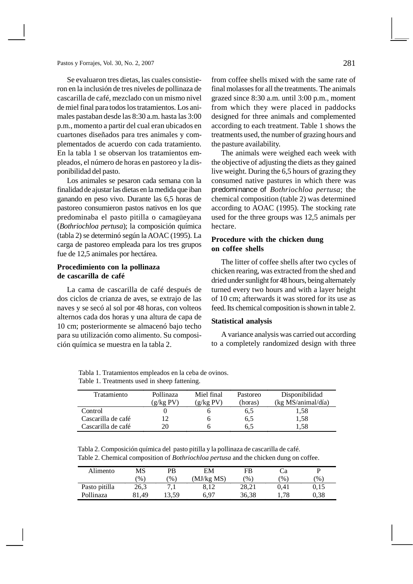Se evaluaron tres dietas, las cuales consistieron en la inclusión de tres niveles de pollinaza de cascarilla de café, mezclado con un mismo nivel de miel final para todos los tratamientos. Los animales pastaban desde las 8:30 a.m. hasta las 3:00 p.m., momento a partir del cual eran ubicados en cuartones diseñados para tres animales y complementados de acuerdo con cada tratamiento. En la tabla 1 se observan los tratamientos empleados, el número de horas en pastoreo y la disponibilidad del pasto.

Los animales se pesaron cada semana con la finalidad de ajustar las dietas en la medida que iban ganando en peso vivo. Durante las 6,5 horas de pastoreo consumieron pastos nativos en los que predominaba el pasto pitilla o camagüeyana (*Bothriochloa pertusa*); la composición química (tabla 2) se determinó según la AOAC (1995). La carga de pastoreo empleada para los tres grupos fue de 12,5 animales por hectárea.

## **Procedimiento con la pollinaza de cascarilla de café**

La cama de cascarilla de café después de dos ciclos de crianza de aves, se extrajo de las naves y se secó al sol por 48 horas, con volteos alternos cada dos horas y una altura de capa de 10 cm; posteriormente se almacenó bajo techo para su utilización como alimento. Su composición química se muestra en la tabla 2.

from coffee shells mixed with the same rate of final molasses for all the treatments. The animals grazed since 8:30 a.m. until 3:00 p.m., moment from which they were placed in paddocks designed for three animals and complemented according to each treatment. Table 1 shows the treatments used, the number of grazing hours and the pasture availability.

The animals were weighed each week with the objective of adjusting the diets as they gained live weight. During the 6,5 hours of grazing they consumed native pastures in which there was predominance of *Bothriochloa pertusa*; the chemical composition (table 2) was determined according to AOAC (1995). The stocking rate used for the three groups was 12,5 animals per hectare.

## **Procedure with the chicken dung on coffee shells**

The litter of coffee shells after two cycles of chicken rearing, was extracted from the shed and dried under sunlight for 48 hours, being alternately turned every two hours and with a layer height of 10 cm; afterwards it was stored for its use as feed. Its chemical composition is shown in table 2.

## **Statistical analysis**

A variance analysis was carried out according to a completely randomized design with three

Tabla 1. Tratamientos empleados en la ceba de ovinos. Table 1. Treatments used in sheep fattening.

| Tratamiento        | Pollinaza<br>(g/kg PV) | Miel final<br>(g/kg PV) | Pastoreo<br>(horas) | Disponibilidad<br>(kg MS/animal/día) |
|--------------------|------------------------|-------------------------|---------------------|--------------------------------------|
| Control            |                        |                         | 0, 5                | 1,58                                 |
| Cascarilla de café |                        |                         | 6.5                 | 1,58                                 |
| Cascarilla de café | 20                     |                         | 6.5                 | 1,58                                 |

Tabla 2. Composición química del pasto pitilla y la pollinaza de cascarilla de café. Table 2. Chemical composition of *Bothriochloa pertusa* and the chicken dung on coffee.

| Alimento      | MS    | PB            | EM         | FB            | Uа         |      |
|---------------|-------|---------------|------------|---------------|------------|------|
|               | $\%$  | $\frac{9}{6}$ | (MJ/kg MS) | $\frac{1}{2}$ | $\gamma_0$ | $\%$ |
| Pasto pitilla | 26,3  |               | 8.12       | 28.21         | 0.41       | 0.15 |
| Pollinaza     | 81.49 | 3.59          | 6.97       | 36.38         | 1,78       | 0.38 |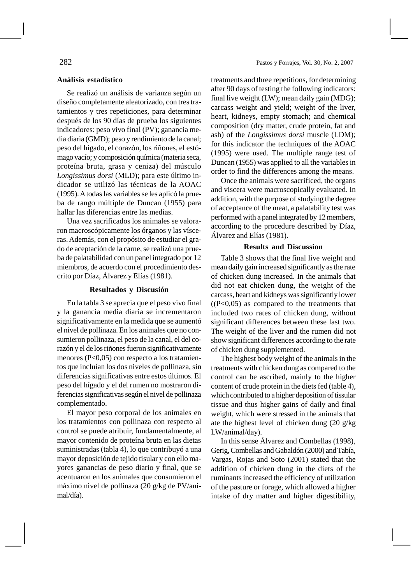## **Análisis estadístico**

Se realizó un análisis de varianza según un diseño completamente aleatorizado, con tres tratamientos y tres repeticiones, para determinar después de los 90 días de prueba los siguientes indicadores: peso vivo final (PV); ganancia media diaria (GMD); peso y rendimiento de la canal; peso del hígado, el corazón, los riñones, el estómago vacío; y composición química (materia seca, proteína bruta, grasa y ceniza) del músculo *Longissimus dorsi* (MLD); para este último indicador se utilizó las técnicas de la AOAC (1995). A todas las variables se les aplicó la prueba de rango múltiple de Duncan (1955) para hallar las diferencias entre las medias.

Una vez sacrificados los animales se valoraron macroscópicamente los órganos y las vísceras. Además, con el propósito de estudiar el grado de aceptación de la carne, se realizó una prueba de palatabilidad con un panel integrado por 12 miembros, de acuerdo con el procedimiento descrito por Díaz, Álvarez y Elías (1981).

## **Resultados y Discusión**

En la tabla 3 se aprecia que el peso vivo final y la ganancia media diaria se incrementaron significativamente en la medida que se aumentó el nivel de pollinaza. En los animales que no consumieron pollinaza, el peso de la canal, el del corazón y el de los riñones fueron significativamente menores (P<0,05) con respecto a los tratamientos que incluían los dos niveles de pollinaza, sin diferencias significativas entre estos últimos. El peso del hígado y el del rumen no mostraron diferencias significativas según el nivel de pollinaza complementado.

El mayor peso corporal de los animales en los tratamientos con pollinaza con respecto al control se puede atribuir, fundamentalmente, al mayor contenido de proteína bruta en las dietas suministradas (tabla 4), lo que contribuyó a una mayor deposición de tejido tisular y con ello mayores ganancias de peso diario y final, que se acentuaron en los animales que consumieron el máximo nivel de pollinaza (20 g/kg de PV/animal/día).

treatments and three repetitions, for determining after 90 days of testing the following indicators: final live weight (LW); mean daily gain (MDG); carcass weight and yield; weight of the liver, heart, kidneys, empty stomach; and chemical composition (dry matter, crude protein, fat and ash) of the *Longissimus dorsi* muscle (LDM); for this indicator the techniques of the AOAC (1995) were used. The multiple range test of Duncan (1955) was applied to all the variables in order to find the differences among the means.

Once the animals were sacrificed, the organs and viscera were macroscopically evaluated. In addition, with the purpose of studying the degree of acceptance of the meat, a palatability test was performed with a panel integrated by 12 members, according to the procedure described by Díaz, Álvarez and Elías (1981).

## **Results and Discussion**

Table 3 shows that the final live weight and mean daily gain increased significantly as the rate of chicken dung increased. In the animals that did not eat chicken dung, the weight of the carcass, heart and kidneys was significantly lower  $((P<0.05)$  as compared to the treatments that included two rates of chicken dung, without significant differences between these last two. The weight of the liver and the rumen did not show significant differences according to the rate of chicken dung supplemented.

The highest body weight of the animals in the treatments with chicken dung as compared to the control can be ascribed, mainly to the higher content of crude protein in the diets fed (table 4), which contributed to a higher deposition of tissular tissue and thus higher gains of daily and final weight, which were stressed in the animals that ate the highest level of chicken dung (20 g/kg LW/animal/day).

In this sense Álvarez and Combellas (1998), Gerig, Combellas and Gabaldón (2000) and Tabía, Vargas, Rojas and Soto (2001) stated that the addition of chicken dung in the diets of the ruminants increased the efficiency of utilization of the pasture or forage, which allowed a higher intake of dry matter and higher digestibility,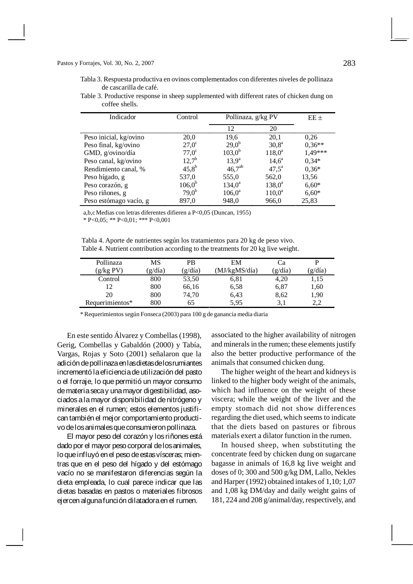### Pastos y Forrajes, Vol. 30, No. 2, 2007 283

Tabla 3. Respuesta productiva en ovinos complementados con diferentes niveles de pollinaza de cascarilla de café.

Table 3. Productive response in sheep supplemented with different rates of chicken dung on coffee shells.

| Indicador              | Control           | Pollinaza, g/kg PV |                 | $EE \pm$ |
|------------------------|-------------------|--------------------|-----------------|----------|
|                        |                   | 12                 | 20              |          |
| Peso inicial, kg/ovino | 20,0              | 19,6               | 20,1            | 0,26     |
| Peso final, kg/ovino   | $27.0^\circ$      | $29.0^{b}$         | $30,8^{\rm a}$  | $0,36**$ |
| GMD, g/ovino/día       | $77.0^\circ$      | $103,0^b$          | $118.0^{\circ}$ | 1.49***  |
| Peso canal, kg/ovino   | $12,7^{\rm b}$    | $13.9^{\rm a}$     | $14,6^{\circ}$  | $0,34*$  |
| Rendimiento canal, %   | $45,8^{\rm b}$    | $46,7^{ab}$        | $47.5^{\circ}$  | $0,36*$  |
| Peso hígado, g         | 537,0             | 555,0              | 562,0           | 13,56    |
| Peso corazón, g        | $106,0^b$         | $134,0^a$          | $138,0^{\rm a}$ | $6,60*$  |
| Peso riñones, g        | 79.0 <sup>b</sup> | $106,0^a$          | $110,0^a$       | $6,60*$  |
| Peso estómago vacío, g | 897,0             | 948,0              | 966,0           | 25,83    |

a,b,cMedias con letras diferentes difieren a P<0,05 (Duncan, 1955)

 $* P < 0.05$ ;  $* P < 0.01$ ;  $* * P < 0.001$ 

Tabla 4. Aporte de nutrientes según los tratamientos para 20 kg de peso vivo. Table 4. Nutrient contribution according to the treatments for 20 kg live weight.

| Pollinaza       | MS    | <b>PB</b> | EМ            | Cа      |         |
|-----------------|-------|-----------|---------------|---------|---------|
| (g/kg PV)       | g/dia | g/dia)    | 'MJ/kgMS/día) | (g/dia) | (g/día) |
| Control         | 800   | 53,50     | 6,81          | 4,20    | 1,15    |
| 12              | 800   | 66,16     | 6.58          | 6,87    | 1,60    |
| 20              | 800   | 74,70     | 6,43          | 8,62    | 1,90    |
| Requerimientos* | 800   | 65        | 5.95          | 3.1     | 2.2     |

\* Requerimientos según Fonseca (2003) para 100 g de ganancia media diaria

En este sentido Álvarez y Combellas (1998), Gerig, Combellas y Gabaldón (2000) y Tabía, Vargas, Rojas y Soto (2001) señalaron que la adición de pollinaza en las dietas de los rumiantes incrementó la eficiencia de utilización del pasto o el forraje, lo que permitió un mayor consumo de materia seca y una mayor digestibilidad, asociados a la mayor disponibilidad de nitrógeno y minerales en el rumen; estos elementos justifican también el mejor comportamiento productivo de los animales que consumieron pollinaza.

El mayor peso del corazón y los riñones está dado por el mayor peso corporal de los animales, lo que influyó en el peso de estas vísceras; mientras que en el peso del hígado y del estómago vacío no se manifestaron diferencias según la dieta empleada, lo cual parece indicar que las dietas basadas en pastos o materiales fibrosos ejercen alguna función dilatadora en el rumen.

associated to the higher availability of nitrogen and minerals in the rumen; these elements justify also the better productive performance of the animals that consumed chicken dung.

The higher weight of the heart and kidneys is linked to the higher body weight of the animals, which had influence on the weight of these viscera; while the weight of the liver and the empty stomach did not show differences regarding the diet used, which seems to indicate that the diets based on pastures or fibrous materials exert a dilator function in the rumen.

In housed sheep, when substituting the concentrate feed by chicken dung on sugarcane bagasse in animals of 16,8 kg live weight and doses of 0; 300 and 500 g/kg DM, Lallo, Nekles and Harper (1992) obtained intakes of 1,10; 1,07 and 1,08 kg DM/day and daily weight gains of 181, 224 and 208 g/animal/day, respectively, and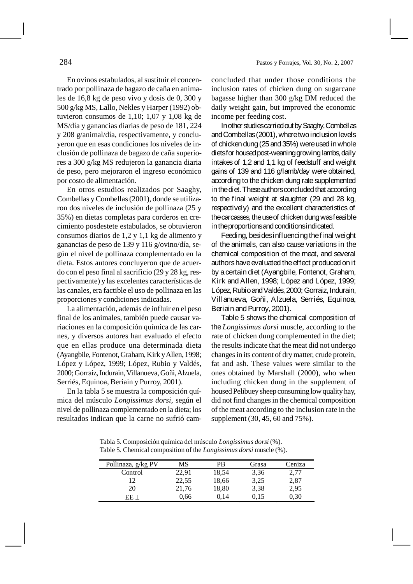En ovinos estabulados, al sustituir el concentrado por pollinaza de bagazo de caña en animales de 16,8 kg de peso vivo y dosis de 0, 300 y 500 g/kg MS, Lallo, Nekles y Harper (1992) obtuvieron consumos de 1,10; 1,07 y 1,08 kg de

MS/día y ganancias diarias de peso de 181, 224 y 208 g/animal/día, respectivamente, y concluyeron que en esas condiciones los niveles de inclusión de pollinaza de bagazo de caña superiores a 300 g/kg MS redujeron la ganancia diaria de peso, pero mejoraron el ingreso económico por costo de alimentación.

En otros estudios realizados por Saaghy, Combellas y Combellas (2001), donde se utilizaron dos niveles de inclusión de pollinaza (25 y 35%) en dietas completas para corderos en crecimiento posdestete estabulados, se obtuvieron consumos diarios de 1,2 y 1,1 kg de alimento y ganancias de peso de 139 y 116 g/ovino/día, según el nivel de pollinaza complementado en la dieta. Estos autores concluyeron que de acuerdo con el peso final al sacrificio (29 y 28 kg, respectivamente) y las excelentes características de las canales, era factible el uso de pollinaza en las proporciones y condiciones indicadas.

La alimentación, además de influir en el peso final de los animales, también puede causar variaciones en la composición química de las carnes, y diversos autores han evaluado el efecto que en ellas produce una determinada dieta (Ayangbile, Fontenot, Graham, Kirk y Allen, 1998; López y López, 1999; López, Rubio y Valdés, 2000; Gorraiz, Indurain, Villanueva, Goñi, Alzuela, Serriés, Equinoa, Beriain y Purroy, 2001).

En la tabla 5 se muestra la composición química del músculo *Longissimus dorsi*, según el nivel de pollinaza complementado en la dieta; los resultados indican que la carne no sufrió camconcluded that under those conditions the inclusion rates of chicken dung on sugarcane bagasse higher than 300 g/kg DM reduced the daily weight gain, but improved the economic income per feeding cost.

In other studies carried out by Saaghy, Combellas and Combellas (2001), where two inclusion levels of chicken dung (25 and 35%) were used in whole diets for housed post-weaning growing lambs, daily intakes of 1,2 and 1,1 kg of feedstuff and weight gains of 139 and 116 g/lamb/day were obtained, according to the chicken dung rate supplemented in the diet. These authors concluded that according to the final weight at slaughter (29 and 28 kg, respectively) and the excellent characteristics of the carcasses, the use of chicken dung was feasible in the proportions and conditions indicated.

Feeding, besides influencing the final weight of the animals, can also cause variations in the chemical composition of the meat, and several authors have evaluated the effect produced on it by a certain diet (Ayangbile, Fontenot, Graham, Kirk and Allen, 1998; López and López, 1999; López, Rubio and Valdés, 2000; Gorraiz, Indurain, Villanueva, Goñi, Alzuela, Serriés, Equinoa, Beriain and Purroy, 2001).

Table 5 shows the chemical composition of the *Longissimus dorsi* muscle, according to the rate of chicken dung complemented in the diet; the results indicate that the meat did not undergo changes in its content of dry matter, crude protein, fat and ash. These values were similar to the ones obtained by Marshall (2000), who when including chicken dung in the supplement of housed Pelibuey sheep consuming low quality hay, did not find changes in the chemical composition of the meat according to the inclusion rate in the supplement (30, 45, 60 and 75%).

Tabla 5. Composición química del músculo *Longissimus dorsi* (%). Table 5. Chemical composition of the *Longissimus dorsi* muscle (%).

| Pollinaza, g/kg PV | MS    | PB    | Grasa | Ceniza |
|--------------------|-------|-------|-------|--------|
| Control            | 22,91 | 18,54 | 3.36  | 2,77   |
| 12                 | 22,55 | 18,66 | 3,25  | 2,87   |
| 20                 | 21,76 | 18,80 | 3,38  | 2,95   |
| $EF +$             | 0,66  | 0.14  | 0.15  | 0,30   |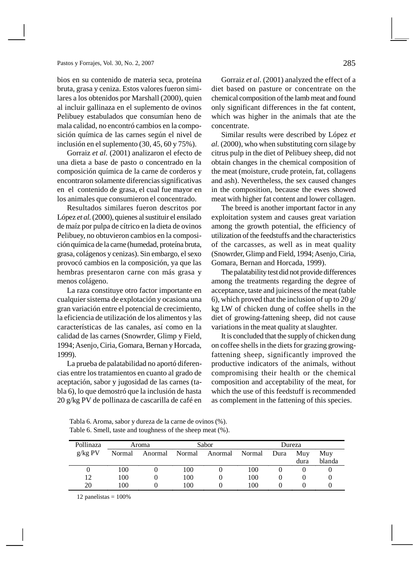### Pastos y Forrajes, Vol. 30, No. 2, 2007 285

bios en su contenido de materia seca, proteína bruta, grasa y ceniza. Estos valores fueron similares a los obtenidos por Marshall (2000), quien al incluir gallinaza en el suplemento de ovinos Pelibuey estabulados que consumían heno de mala calidad, no encontró cambios en la composición química de las carnes según el nivel de inclusión en el suplemento (30, 45, 60 y 75%).

Gorraiz *et al.* (2001) analizaron el efecto de una dieta a base de pasto o concentrado en la composición química de la carne de corderos y encontraron solamente diferencias significativas en el contenido de grasa, el cual fue mayor en los animales que consumieron el concentrado.

Resultados similares fueron descritos por López *et al.* (2000), quienes al sustituir el ensilado de maíz por pulpa de cítrico en la dieta de ovinos Pelibuey, no obtuvieron cambios en la composición química de la carne (humedad, proteína bruta, grasa, colágenos y cenizas). Sin embargo, el sexo provocó cambios en la composición, ya que las hembras presentaron carne con más grasa y menos colágeno.

La raza constituye otro factor importante en cualquier sistema de explotación y ocasiona una gran variación entre el potencial de crecimiento, la eficiencia de utilización de los alimentos y las características de las canales, así como en la calidad de las carnes (Snowrder, Glimp y Field, 1994;Asenjo, Ciria, Gomara, Bernan y Horcada, 1999).

La prueba de palatabilidad no aportó diferencias entre los tratamientos en cuanto al grado de aceptación, sabor y jugosidad de las carnes (tabla 6), lo que demostró que la inclusión de hasta 20 g/kg PV de pollinaza de cascarilla de café en

Gorraiz *et al*. (2001) analyzed the effect of a diet based on pasture or concentrate on the chemical composition of the lamb meat and found only significant differences in the fat content, which was higher in the animals that ate the concentrate.

Similar results were described by López *et al.* (2000), who when substituting corn silage by citrus pulp in the diet of Pelibuey sheep, did not obtain changes in the chemical composition of the meat (moisture, crude protein, fat, collagens and ash). Nevertheless, the sex caused changes in the composition, because the ewes showed meat with higher fat content and lower collagen.

The breed is another important factor in any exploitation system and causes great variation among the growth potential, the efficiency of utilization of the feedstuffs and the characteristics of the carcasses, as well as in meat quality (Snowrder, Glimp and Field, 1994; Asenjo, Ciria, Gomara, Bernan and Horcada, 1999).

The palatability test did not provide differences among the treatments regarding the degree of acceptance, taste and juiciness of the meat (table 6), which proved that the inclusion of up to  $20 g/$ kg LW of chicken dung of coffee shells in the diet of growing-fattening sheep, did not cause variations in the meat quality at slaughter.

It is concluded that the supply of chicken dung on coffee shells in the diets for grazing growingfattening sheep, significantly improved the productive indicators of the animals, without compromising their health or the chemical composition and acceptability of the meat, for which the use of this feedstuff is recommended as complement in the fattening of this species.

| Pollinaza | Aroma  |                | Sabor |         | Dureza |      |      |        |
|-----------|--------|----------------|-------|---------|--------|------|------|--------|
| g/kg PV   | Normal | Anormal Normal |       | Anormal | Normal | Dura | Muv  | Muy    |
|           |        |                |       |         |        |      | dura | blanda |
|           | 100    |                | 100   |         | 100    |      |      |        |
| 12        | 100    |                | 100   |         | 100    |      |      |        |
| 20        | 100    |                | 100   |         | 100    |      |      |        |

Tabla 6. Aroma, sabor y dureza de la carne de ovinos (%). Table 6. Smell, taste and toughness of the sheep meat (%).

12 panelistas  $= 100\%$